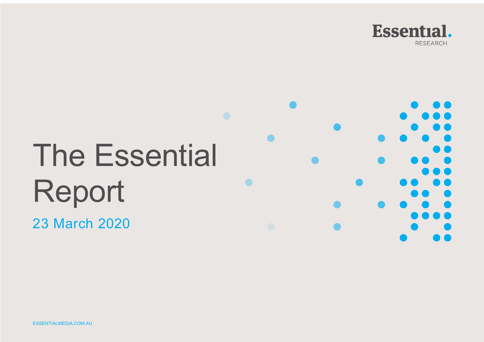

# The Essential Report

23 March 2020

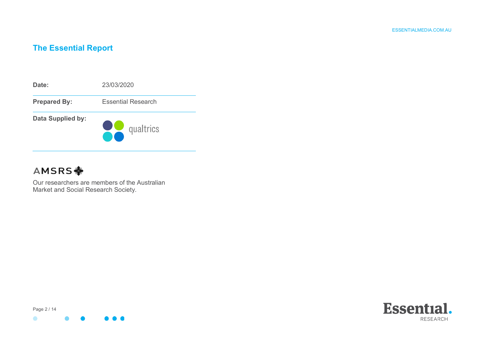### **The Essential Report**



## **AMSRS**

Our researchers are members of the Australian Market and Social Research Society.



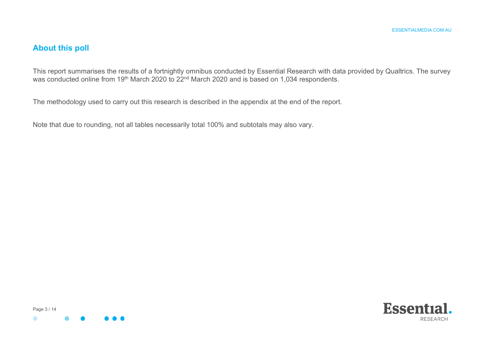#### **About this poll**

This report summarises the results of a fortnightly omnibus conducted by Essential Research with data provided by Qualtrics. The survey was conducted online from 19<sup>th</sup> March 2020 to 22<sup>nd</sup> March 2020 and is based on 1,034 respondents.

The methodology used to carry out this research is described in the appendix at the end of the report.

Note that due to rounding, not all tables necessarily total 100% and subtotals may also vary.



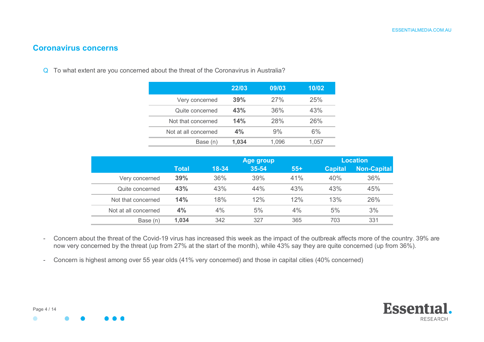#### **Coronavirus concerns**

Q To what extent are you concerned about the threat of the Coronavirus in Australia?

|                      | 22/03 | 09/03      | 10/02 |
|----------------------|-------|------------|-------|
| Very concerned       | 39%   | 27%        | 25%   |
| Quite concerned      | 43%   | 36%        | 43%   |
| Not that concerned   | 14%   | <b>28%</b> | 26%   |
| Not at all concerned | 4%    | 9%         | 6%    |
| Base (n)             | 1.034 | 1.096      | 1.057 |

|                      |       |           | Age group |       | <b>Location</b> |             |  |
|----------------------|-------|-----------|-----------|-------|-----------------|-------------|--|
|                      | Total | $18 - 34$ | 35-54     | $55+$ | <b>Capital</b>  | Non-Capital |  |
| Very concerned       | 39%   | 36%       | 39%       | 41%   | 40%             | 36%         |  |
| Quite concerned      | 43%   | 43%       | 44%       | 43%   | 43%             | 45%         |  |
| Not that concerned   | 14%   | 18%       | 12%       | 12%   | 13%             | 26%         |  |
| Not at all concerned | 4%    | 4%        | 5%        | 4%    | 5%              | 3%          |  |
| Base (n)             | 1.034 | 342       | 327       | 365   | 703             | 331         |  |

- Concern about the threat of the Covid-19 virus has increased this week as the impact of the outbreak affects more of the country. 39% are now very concerned by the threat (up from 27% at the start of the month), while 43% say they are quite concerned (up from 36%).
- Concern is highest among over 55 year olds (41% very concerned) and those in capital cities (40% concerned)

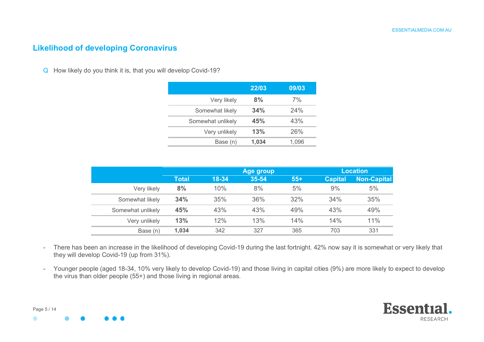#### **Likelihood of developing Coronavirus**

Q How likely do you think it is, that you will develop Covid-19?

|                   | 22/03 | 09/03 |
|-------------------|-------|-------|
| Very likely       | 8%    | 7%    |
| Somewhat likely   | 34%   | 24%   |
| Somewhat unlikely | 45%   | 43%   |
| Very unlikely     | 13%   | 26%   |
| Base (n)          | 1,034 | 1.096 |

|                   |              |       | Age group |       | <b>Location</b> |             |  |
|-------------------|--------------|-------|-----------|-------|-----------------|-------------|--|
|                   | <b>Total</b> | 18-34 | 35-54     | $55+$ | <b>Capital</b>  | Non-Capital |  |
| Very likely       | 8%           | 10%   | 8%        | 5%    | 9%              | 5%          |  |
| Somewhat likely   | 34%          | 35%   | 36%       | 32%   | 34%             | 35%         |  |
| Somewhat unlikely | 45%          | 43%   | 43%       | 49%   | 43%             | 49%         |  |
| Very unlikely     | 13%          | 12%   | 13%       | 14%   | 14%             | 11%         |  |
| Base (n)          | 1,034        | 342   | 327       | 365   | 703             | 331         |  |

- There has been an increase in the likelihood of developing Covid-19 during the last fortnight. 42% now say it is somewhat or very likely that they will develop Covid-19 (up from 31%).
- Younger people (aged 18-34, 10% very likely to develop Covid-19) and those living in capital cities (9%) are more likely to expect to develop the virus than older people (55+) and those living in regional areas.

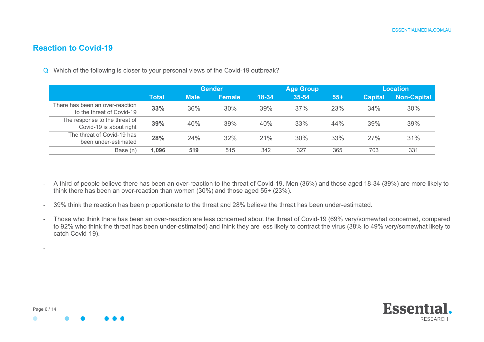#### **Reaction to Covid-19**

Q Which of the following is closer to your personal views of the Covid-19 outbreak?

|                                                              |              |             | <b>Gender</b> |       | <b>Age Group</b> |       | <b>Location</b> |                    |
|--------------------------------------------------------------|--------------|-------------|---------------|-------|------------------|-------|-----------------|--------------------|
|                                                              | <b>Total</b> | <b>Male</b> | <b>Female</b> | 18-34 | 35-54            | $55+$ | <b>Capital</b>  | <b>Non-Capital</b> |
| There has been an over-reaction<br>to the threat of Covid-19 | 33%          | 36%         | 30%           | 39%   | 37%              | 23%   | 34%             | 30%                |
| The response to the threat of<br>Covid-19 is about right     | 39%          | 40%         | 39%           | 40%   | 33%              | 44%   | 39%             | 39%                |
| The threat of Covid-19 has<br>been under-estimated           | 28%          | 24%         | 32%           | 21%   | 30%              | 33%   | 27%             | 31%                |
| Base (n)                                                     | 1,096        | 519         | 515           | 342   | 327              | 365   | 703             | 331                |

- A third of people believe there has been an over-reaction to the threat of Covid-19. Men (36%) and those aged 18-34 (39%) are more likely to think there has been an over-reaction than women (30%) and those aged 55+ (23%).
- 39% think the reaction has been proportionate to the threat and 28% believe the threat has been under-estimated.
- Those who think there has been an over-reaction are less concerned about the threat of Covid-19 (69% very/somewhat concerned, compared to 92% who think the threat has been under-estimated) and think they are less likely to contract the virus (38% to 49% very/somewhat likely to catch Covid-19).

-

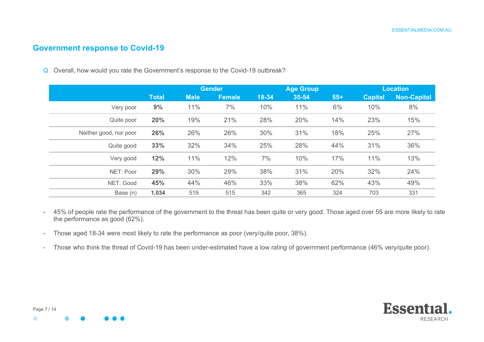#### **Government response to Covid-19**

Q Overall, how would you rate the Government's response to the Covid-19 outbreak?

|                        |              | <b>Gender</b> |               |       | <b>Age Group</b> |       | <b>Location</b> |                    |  |
|------------------------|--------------|---------------|---------------|-------|------------------|-------|-----------------|--------------------|--|
|                        | <b>Total</b> | <b>Male</b>   | <b>Female</b> | 18-34 | 35-54            | $55+$ | <b>Capital</b>  | <b>Non-Capital</b> |  |
| Very poor              | 9%           | 11%           | 7%            | 10%   | 11%              | 6%    | 10%             | 8%                 |  |
| Quite poor             | 20%          | 19%           | 21%           | 28%   | 20%              | 14%   | 23%             | 15%                |  |
| Neither good, nor poor | 26%          | 26%           | 26%           | 30%   | 31%              | 18%   | 25%             | 27%                |  |
| Quite good             | 33%          | 32%           | 34%           | 25%   | 28%              | 44%   | 31%             | 36%                |  |
| Very good              | 12%          | 11%           | 12%           | 7%    | 10%              | 17%   | 11%             | 13%                |  |
| NET: Poor              | 29%          | 30%           | 29%           | 38%   | 31%              | 20%   | 32%             | 24%                |  |
| NET: Good              | 45%          | 44%           | 46%           | 33%   | 38%              | 62%   | 43%             | 49%                |  |
| Base (n)               | 1,034        | 519           | 515           | 342   | 365              | 324   | 703             | 331                |  |

- 45% of people rate the performance of the government to the threat has been quite or very good. Those aged over 55 are more likely to rate the performance as good (62%).

- Those aged 18-34 were most likely to rate the performance as poor (very/quite poor, 38%).
- Those who think the threat of Covid-19 has been under-estimated have a low rating of government performance (46% very/quite poor).

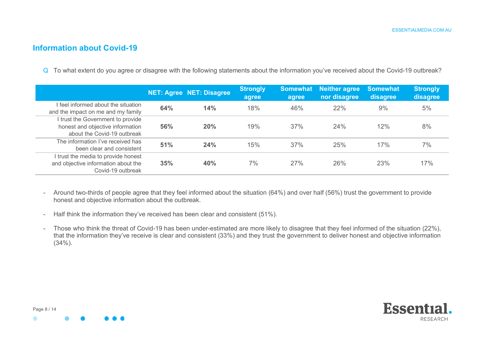#### **Information about Covid-19**

Q To what extent do you agree or disagree with the following statements about the information you've received about the Covid-19 outbreak?

|                                                                                                      |     | <b>NET: Agree NET: Disagree</b> | Strongly<br>agree | agree | <b>Somewhat Neither agree</b><br>nor disagree | <b>Somewhat</b><br>disagree | Strongly<br>disagree |
|------------------------------------------------------------------------------------------------------|-----|---------------------------------|-------------------|-------|-----------------------------------------------|-----------------------------|----------------------|
| I feel informed about the situation<br>and the impact on me and my family                            | 64% | 14%                             | 18%               | 46%   | 22%                                           | 9%                          | 5%                   |
| I trust the Government to provide<br>honest and objective information<br>about the Covid-19 outbreak | 56% | 20%                             | 19%               | 37%   | 24%                                           | 12%                         | 8%                   |
| The information I've received has<br>been clear and consistent                                       | 51% | 24%                             | 15%               | 37%   | 25%                                           | 17%                         | 7%                   |
| I trust the media to provide honest<br>and objective information about the<br>Covid-19 outbreak      | 35% | 40%                             | 7%                | 27%   | 26%                                           | 23%                         | 17%                  |

- Around two-thirds of people agree that they feel informed about the situation (64%) and over half (56%) trust the government to provide honest and objective information about the outbreak.
- Half think the information they've received has been clear and consistent (51%).
- Those who think the threat of Covid-19 has been under-estimated are more likely to disagree that they feel informed of the situation (22%), that the information they've receive is clear and consistent (33%) and they trust the government to deliver honest and objective information  $(34\%)$ .

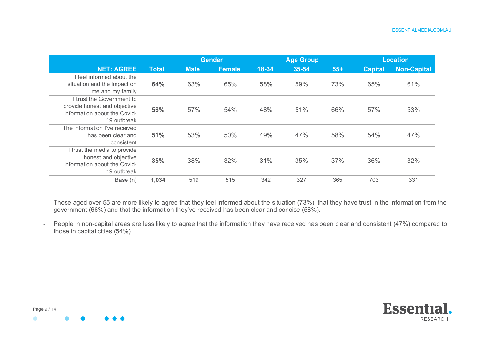|                                                                                                          |              | <b>Gender</b> |               |           | <b>Age Group</b> |       |                | <b>Location</b>    |  |
|----------------------------------------------------------------------------------------------------------|--------------|---------------|---------------|-----------|------------------|-------|----------------|--------------------|--|
| <b>NET: AGREE</b>                                                                                        | <b>Total</b> | <b>Male</b>   | <b>Female</b> | $18 - 34$ | 35-54            | $55+$ | <b>Capital</b> | <b>Non-Capital</b> |  |
| I feel informed about the<br>situation and the impact on<br>me and my family                             | 64%          | 63%           | 65%           | 58%       | 59%              | 73%   | 65%            | 61%                |  |
| I trust the Government to<br>provide honest and objective<br>information about the Covid-<br>19 outbreak | 56%          | 57%           | 54%           | 48%       | 51%              | 66%   | 57%            | 53%                |  |
| The information I've received<br>has been clear and<br>consistent                                        | 51%          | 53%           | 50%           | 49%       | 47%              | 58%   | 54%            | 47%                |  |
| I trust the media to provide<br>honest and objective<br>information about the Covid-<br>19 outbreak      | 35%          | 38%           | 32%           | 31%       | 35%              | 37%   | 36%            | 32%                |  |
| Base (n)                                                                                                 | 1,034        | 519           | 515           | 342       | 327              | 365   | 703            | 331                |  |

- Those aged over 55 are more likely to agree that they feel informed about the situation (73%), that they have trust in the information from the government (66%) and that the information they've received has been clear and concise (58%).
- People in non-capital areas are less likely to agree that the information they have received has been clear and consistent (47%) compared to those in capital cities (54%).

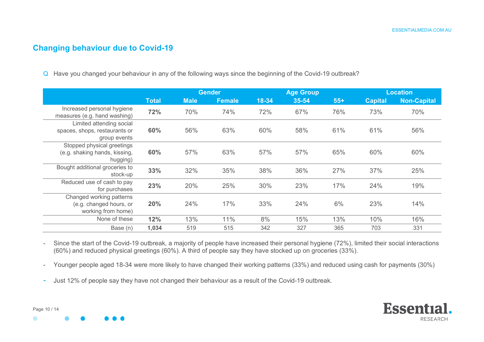#### **Changing behaviour due to Covid-19**

Q Have you changed your behaviour in any of the following ways since the beginning of the Covid-19 outbreak?

|                                                                           |              |             | <b>Gender</b> |       | <b>Age Group</b> |       | <b>Location</b> |                    |  |
|---------------------------------------------------------------------------|--------------|-------------|---------------|-------|------------------|-------|-----------------|--------------------|--|
|                                                                           | <b>Total</b> | <b>Male</b> | Female        | 18-34 | 35-54            | $55+$ | <b>Capital</b>  | <b>Non-Capital</b> |  |
| Increased personal hygiene<br>measures (e.g. hand washing)                | 72%          | 70%         | 74%           | 72%   | 67%              | 76%   | 73%             | 70%                |  |
| Limited attending social<br>spaces, shops, restaurants or<br>group events | 60%          | 56%         | 63%           | 60%   | 58%              | 61%   | 61%             | 56%                |  |
| Stopped physical greetings<br>(e.g. shaking hands, kissing,<br>hugging)   | 60%          | 57%         | 63%           | 57%   | 57%              | 65%   | 60%             | 60%                |  |
| Bought additional groceries to<br>stock-up                                | 33%          | 32%         | 35%           | 38%   | 36%              | 27%   | 37%             | 25%                |  |
| Reduced use of cash to pay<br>for purchases                               | 23%          | 20%         | 25%           | 30%   | 23%              | 17%   | 24%             | 19%                |  |
| Changed working patterns<br>(e.g. changed hours, or<br>working from home) | 20%          | 24%         | 17%           | 33%   | 24%              | 6%    | 23%             | 14%                |  |
| None of these                                                             | 12%          | 13%         | 11%           | 8%    | 15%              | 13%   | 10%             | 16%                |  |
| Base (n)                                                                  | 1,034        | 519         | 515           | 342   | 327              | 365   | 703             | 331                |  |

- Since the start of the Covid-19 outbreak, a majority of people have increased their personal hygiene (72%), limited their social interactions (60%) and reduced physical greetings (60%). A third of people say they have stocked up on groceries (33%).

- Younger people aged 18-34 were more likely to have changed their working patterns (33%) and reduced using cash for payments (30%)
- Just 12% of people say they have not changed their behaviour as a result of the Covid-19 outbreak.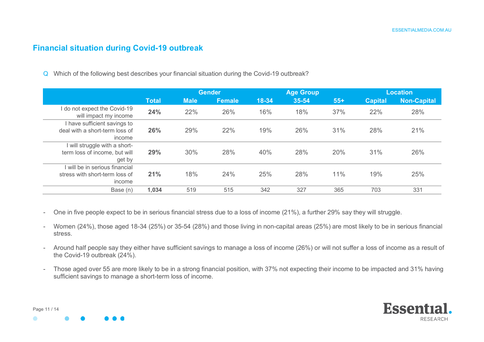#### **Financial situation during Covid-19 outbreak**

Q Which of the following best describes your financial situation during the Covid-19 outbreak?

|                                                                            |              | <b>Gender</b> |        |       | <b>Age Group</b> |       |                | Location    |  |
|----------------------------------------------------------------------------|--------------|---------------|--------|-------|------------------|-------|----------------|-------------|--|
|                                                                            | <b>Total</b> | <b>Male</b>   | Female | 18-34 | 35-54            | $55+$ | <b>Capital</b> | Non-Capital |  |
| do not expect the Covid-19<br>will impact my income                        | 24%          | 22%           | 26%    | 16%   | 18%              | 37%   | 22%            | 28%         |  |
| I have sufficient savings to<br>deal with a short-term loss of<br>income   | 26%          | 29%           | 22%    | 19%   | 26%              | 31%   | 28%            | 21%         |  |
| I will struggle with a short-<br>term loss of income, but will<br>get by   | 29%          | 30%           | 28%    | 40%   | 28%              | 20%   | 31%            | 26%         |  |
| I will be in serious financial<br>stress with short-term loss of<br>income | 21%          | 18%           | 24%    | 25%   | 28%              | 11%   | 19%            | 25%         |  |
| Base (n)                                                                   | 1,034        | 519           | 515    | 342   | 327              | 365   | 703            | 331         |  |

- One in five people expect to be in serious financial stress due to a loss of income (21%), a further 29% say they will struggle.
- Women (24%), those aged 18-34 (25%) or 35-54 (28%) and those living in non-capital areas (25%) are most likely to be in serious financial stress.
- Around half people say they either have sufficient savings to manage a loss of income (26%) or will not suffer a loss of income as a result of the Covid-19 outbreak (24%).
- Those aged over 55 are more likely to be in a strong financial position, with 37% not expecting their income to be impacted and 31% having sufficient savings to manage a short-term loss of income.

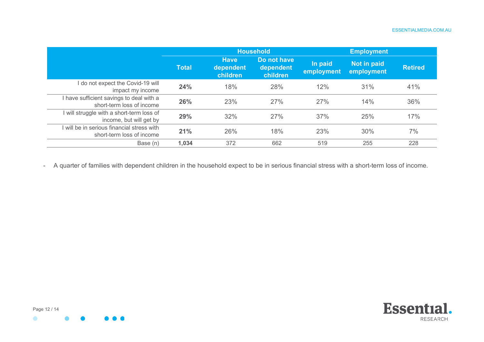#### ESSENTIALMEDIA.COM.AU

|                                                                         |              |                                      | <b>Household</b>                     |                       | <b>Employment</b>         |                |
|-------------------------------------------------------------------------|--------------|--------------------------------------|--------------------------------------|-----------------------|---------------------------|----------------|
|                                                                         | <b>Total</b> | <b>Have</b><br>dependent<br>children | Do not have<br>dependent<br>children | In paid<br>employment | Not in paid<br>employment | <b>Retired</b> |
| do not expect the Covid-19 will<br>impact my income                     | 24%          | 18%                                  | 28%                                  | 12%                   | 31%                       | 41%            |
| I have sufficient savings to deal with a<br>short-term loss of income   | 26%          | 23%                                  | 27%                                  | 27%                   | 14%                       | 36%            |
| will struggle with a short-term loss of<br>income, but will get by      | 29%          | 32%                                  | 27%                                  | 37%                   | 25%                       | 17%            |
| I will be in serious financial stress with<br>short-term loss of income | 21%          | 26%                                  | 18%                                  | 23%                   | 30%                       | 7%             |
| Base (n)                                                                | 1,034        | 372                                  | 662                                  | 519                   | 255                       | 228            |

- A quarter of families with dependent children in the household expect to be in serious financial stress with a short-term loss of income.

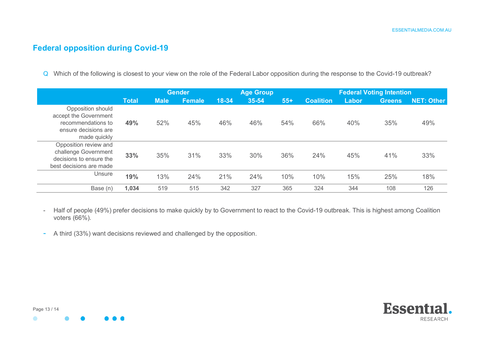#### **Federal opposition during Covid-19**

Q Which of the following is closest to your view on the role of the Federal Labor opposition during the response to the Covid-19 outbreak?

|                                                                                                          |              |             |               | <b>Age Group</b><br><b>Gender</b> |       |       | <b>Federal Voting Intention</b> |       |               |                   |  |
|----------------------------------------------------------------------------------------------------------|--------------|-------------|---------------|-----------------------------------|-------|-------|---------------------------------|-------|---------------|-------------------|--|
|                                                                                                          | <b>Total</b> | <b>Male</b> | <b>Female</b> | 18-34                             | 35-54 | $55+$ | <b>Coalition</b>                | Labor | <b>Greens</b> | <b>NET: Other</b> |  |
| Opposition should<br>accept the Government<br>recommendations to<br>ensure decisions are<br>made quickly | 49%          | 52%         | 45%           | 46%                               | 46%   | 54%   | 66%                             | 40%   | 35%           | 49%               |  |
| Opposition review and<br>challenge Government<br>decisions to ensure the<br>best decisions are made      | 33%          | 35%         | 31%           | 33%                               | 30%   | 36%   | 24%                             | 45%   | 41%           | 33%               |  |
| Unsure                                                                                                   | 19%          | 13%         | 24%           | 21%                               | 24%   | 10%   | 10%                             | 15%   | 25%           | 18%               |  |
| Base (n)                                                                                                 | 1,034        | 519         | 515           | 342                               | 327   | 365   | 324                             | 344   | 108           | 126               |  |

- Half of people (49%) prefer decisions to make quickly by to Government to react to the Covid-19 outbreak. This is highest among Coalition voters (66%).
- A third (33%) want decisions reviewed and challenged by the opposition.